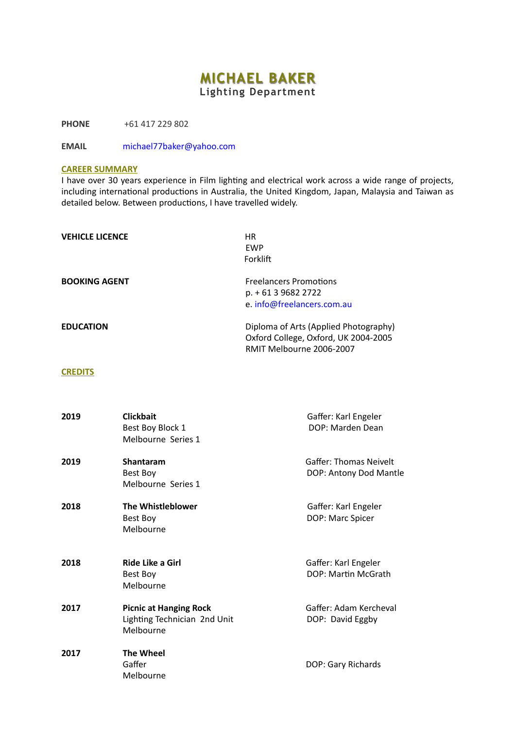## **MICHAEL BAKER Lighting Department**

**PHONE** +61 417 229 802

**EMAIL** [michael77baker@yahoo.com](mailto:michael77baker@yahoo.com)

## **CAREER SUMMARY**

I have over 30 years experience in Film lighting and electrical work across a wide range of projects, including international productions in Australia, the United Kingdom, Japan, Malaysia and Taiwan as detailed below. Between productions, I have travelled widely.

| <b>VEHICLE LICENCE</b> | <b>HR</b><br><b>EWP</b><br>Forklift                                                                       |
|------------------------|-----------------------------------------------------------------------------------------------------------|
| <b>BOOKING AGENT</b>   | <b>Freelancers Promotions</b><br>p. + 61 3 9682 2722<br>e. info@freelancers.com.au                        |
| <b>EDUCATION</b>       | Diploma of Arts (Applied Photography)<br>Oxford College, Oxford, UK 2004-2005<br>RMIT Melbourne 2006-2007 |

## **CREDITS**

| 2019 | <b>Clickbait</b><br>Best Boy Block 1<br>Melbourne Series 1                 | Gaffer: Karl Engeler<br>DOP: Marden Dean                |
|------|----------------------------------------------------------------------------|---------------------------------------------------------|
| 2019 | <b>Shantaram</b><br>Best Boy<br>Melbourne Series 1                         | <b>Gaffer: Thomas Neivelt</b><br>DOP: Antony Dod Mantle |
| 2018 | <b>The Whistleblower</b><br>Best Boy<br>Melbourne                          | Gaffer: Karl Engeler<br>DOP: Marc Spicer                |
| 2018 | Ride Like a Girl<br>Best Boy<br>Melbourne                                  | Gaffer: Karl Engeler<br>DOP: Martin McGrath             |
| 2017 | <b>Picnic at Hanging Rock</b><br>Lighting Technician 2nd Unit<br>Melbourne | Gaffer: Adam Kercheval<br>DOP: David Eggby              |
| 2017 | <b>The Wheel</b><br>Gaffer<br>Melbourne                                    | DOP: Gary Richards                                      |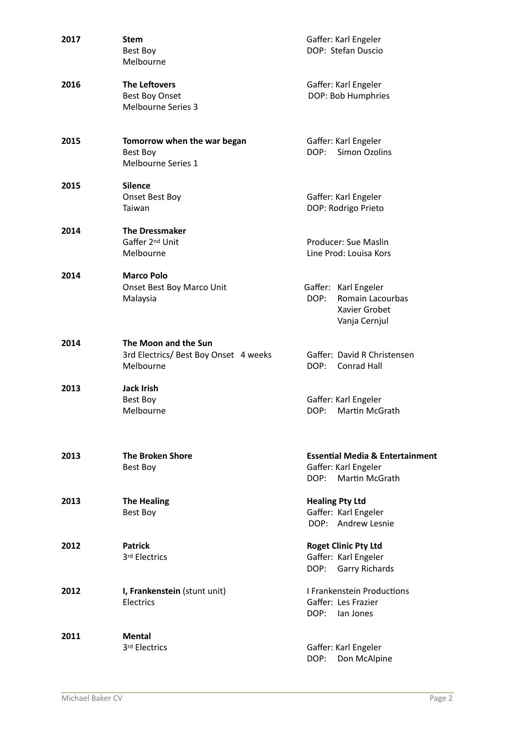| 2017 | <b>Stem</b><br>Best Boy<br>Melbourne                                       | Gaffer: Karl Engeler<br>DOP: Stefan Duscio                                                          |
|------|----------------------------------------------------------------------------|-----------------------------------------------------------------------------------------------------|
| 2016 | The Leftovers<br>Best Boy Onset<br><b>Melbourne Series 3</b>               | Gaffer: Karl Engeler<br>DOP: Bob Humphries                                                          |
| 2015 | Tomorrow when the war began<br>Best Boy<br>Melbourne Series 1              | Gaffer: Karl Engeler<br>DOP:<br><b>Simon Ozolins</b>                                                |
| 2015 | <b>Silence</b><br>Onset Best Boy<br>Taiwan                                 | Gaffer: Karl Engeler<br>DOP: Rodrigo Prieto                                                         |
| 2014 | <b>The Dressmaker</b><br>Gaffer 2nd Unit<br>Melbourne                      | Producer: Sue Maslin<br>Line Prod: Louisa Kors                                                      |
| 2014 | <b>Marco Polo</b><br>Onset Best Boy Marco Unit<br>Malaysia                 | Gaffer: Karl Engeler<br>DOP:<br>Romain Lacourbas<br>Xavier Grobet<br>Vanja Cernjul                  |
| 2014 | The Moon and the Sun<br>3rd Electrics/ Best Boy Onset 4 weeks<br>Melbourne | Gaffer: David R Christensen<br>DOP:<br>Conrad Hall                                                  |
| 2013 | <b>Jack Irish</b><br>Best Boy<br>Melbourne                                 | Gaffer: Karl Engeler<br>Martin McGrath<br>DOP:                                                      |
| 2013 | <b>The Broken Shore</b><br>Best Boy                                        | <b>Essential Media &amp; Entertainment</b><br>Gaffer: Karl Engeler<br><b>Martin McGrath</b><br>DOP: |
| 2013 | <b>The Healing</b><br>Best Boy                                             | <b>Healing Pty Ltd</b><br>Gaffer: Karl Engeler<br>DOP: Andrew Lesnie                                |
| 2012 | <b>Patrick</b><br>3rd Electrics                                            | <b>Roget Clinic Pty Ltd</b><br>Gaffer: Karl Engeler<br><b>Garry Richards</b><br>DOP:                |
| 2012 | I, Frankenstein (stunt unit)<br><b>Electrics</b>                           | <b>I Frankenstein Productions</b><br>Gaffer: Les Frazier<br>DOP: lan Jones                          |
| 2011 | Mental<br>3rd Electrics                                                    | Gaffer: Karl Engeler<br>DOP:<br>Don McAlpine                                                        |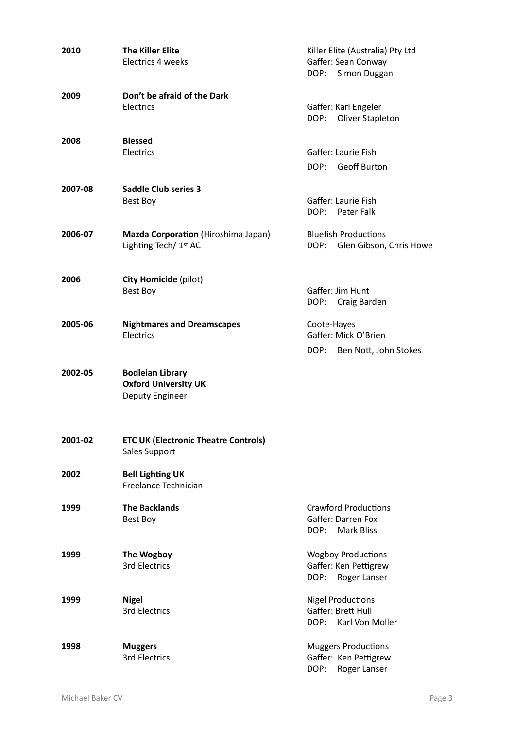| 2010    | <b>The Killer Elite</b><br>Electrics 4 weeks                              | Killer Elite (Australia) Pty Ltd<br>Gaffer: Sean Conway<br>Simon Duggan<br>DOP: |  |
|---------|---------------------------------------------------------------------------|---------------------------------------------------------------------------------|--|
| 2009    | Don't be afraid of the Dark<br>Electrics                                  | Gaffer: Karl Engeler<br>Oliver Stapleton<br>DOP:                                |  |
| 2008    | <b>Blessed</b><br>Electrics                                               | Gaffer: Laurie Fish<br>DOP: Geoff Burton                                        |  |
| 2007-08 | <b>Saddle Club series 3</b><br>Best Boy                                   | Gaffer: Laurie Fish<br>DOP:<br>Peter Falk                                       |  |
| 2006-07 | Mazda Corporation (Hiroshima Japan)<br>Lighting Tech/ 1st AC              | <b>Bluefish Productions</b><br>DOP: Glen Gibson, Chris Howe                     |  |
| 2006    | City Homicide (pilot)<br>Best Boy                                         | Gaffer: Jim Hunt<br>DOP:<br>Craig Barden                                        |  |
| 2005-06 | <b>Nightmares and Dreamscapes</b><br>Electrics                            | Coote-Hayes<br>Gaffer: Mick O'Brien<br>DOP:<br>Ben Nott, John Stokes            |  |
| 2002-05 | <b>Bodleian Library</b><br><b>Oxford University UK</b><br>Deputy Engineer |                                                                                 |  |
| 2001-02 | <b>ETC UK (Electronic Theatre Controls)</b><br>Sales Support              |                                                                                 |  |
| 2002    | <b>Bell Lighting UK</b><br>Freelance Technician                           |                                                                                 |  |
| 1999    | <b>The Backlands</b><br>Best Boy                                          | <b>Crawford Productions</b><br>Gaffer: Darren Fox<br>DOP: Mark Bliss            |  |
| 1999    | The Wogboy<br>3rd Electrics                                               | <b>Wogboy Productions</b><br>Gaffer: Ken Pettigrew<br>DOP:<br>Roger Lanser      |  |
| 1999    | <b>Nigel</b><br>3rd Electrics                                             | <b>Nigel Productions</b><br>Gaffer: Brett Hull<br>Karl Von Moller<br>DOP:       |  |
| 1998    | <b>Muggers</b><br>3rd Electrics                                           | <b>Muggers Productions</b><br>Gaffer: Ken Pettigrew<br>DOP:<br>Roger Lanser     |  |